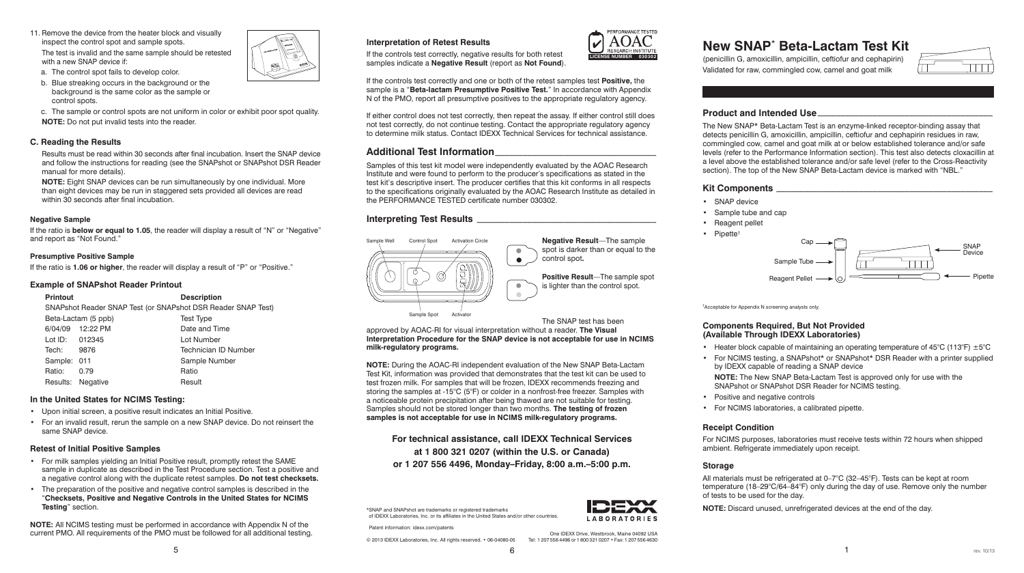# **Product and Intended Use**\_\_\_\_\_\_\_\_\_\_\_\_\_\_\_\_\_\_\_\_\_\_\_\_\_\_\_\_\_\_\_\_\_\_\_\_\_\_

The New SNAP\* Beta-Lactam Test is an enzyme-linked receptor-binding assay that detects penicillin G, amoxicillin, ampicillin, ceftiofur and cephapirin residues in raw, commingled cow, camel and goat milk at or below established tolerance and/or safe levels (refer to the Performance Information section). This test also detects cloxacillin at a level above the established tolerance and/or safe level (refer to the Cross-Reactivity section). The top of the New SNAP Beta-Lactam device is marked with "NBL."

- • SNAP device
- • Sample tube and cap
- Reagent pellet
- Pipette<sup>†</sup>

**LABORATORIES** 

• Heater block capable of maintaining an operating temperature of  $45^{\circ}$ C (113°F)  $\pm 5^{\circ}$ C • For NCIMS testing, a SNAPshot\* or SNAPshot\* DSR Reader with a printer supplied by IDEXX capable of reading a SNAP device

## **Kit Components** \_\_\_\_\_\_\_\_\_\_\_\_\_\_\_\_\_\_\_\_\_\_\_\_\_\_\_\_\_\_\_\_\_\_\_\_\_\_\_\_\_\_\_\_\_\_\_

- Positive and negative controls
- • For NCIMS laboratories, a calibrated pipette.

† Acceptable for Appendix N screening analysts only.

### **Components Required, But Not Provided (Available Through IDEXX Laboratories)**

- 
- 
- 
- 

**NOTE:** The New SNAP Beta-Lactam Test is approved only for use with the SNAPshot or SNAPshot DSR Reader for NCIMS testing.

## **Receipt Condition**

For NCIMS purposes, laboratories must receive tests within 72 hours when shipped ambient. Refrigerate immediately upon receipt.

#### **Storage**

**Negative Result**—The sample spot is darker than or equal to the

> All materials must be refrigerated at 0–7°C (32–45°F). Tests can be kept at room temperature (18–29°C/64–84°F) only during the day of use. Remove only the number of tests to be used for the day.

**NOTE:** Discard unused, unrefrigerated devices at the end of the day.

# **Interpretation of Retest Results**

If the controls test correctly, negative results for both retest samples indicate a **Negative Result** (report as **Not Found**).

If the controls test correctly and one or both of the retest samples test **Positive,** the sample is a "**Beta-lactam Presumptive Positive Test.**" In accordance with Appendix N of the PMO, report all presumptive positives to the appropriate regulatory agency.

11. Remove the device from the heater block and visually inspect the control spot and sample spots.

The test is invalid and the same sample should be retested with a new SNAP device if:

> If either control does not test correctly, then repeat the assay. If either control still does not test correctly, do not continue testing. Contact the appropriate regulatory agency to determine milk status. Contact IDEXX Technical Services for technical assistance.

# **Additional Test Information**\_\_\_\_\_\_\_\_\_\_\_\_\_\_\_\_\_\_\_\_\_\_\_\_\_\_\_\_\_\_\_\_\_\_\_

Samples of this test kit model were independently evaluated by the AOAC Research Institute and were found to perform to the producer's specifications as stated in the test kit's descriptive insert. The producer certifies that this kit conforms in all respects to the specifications originally evaluated by the AOAC Research Institute as detailed in the PERFORMANCE TESTED certificate number 030302.

#### **Interpreting Test Results** \_\_\_\_\_\_\_\_\_\_\_\_\_\_\_\_\_\_\_\_\_\_\_\_\_\_\_\_\_\_\_\_\_\_\_\_\_\_\_

**Positive Result**—The sample spot is lighter than the control spot.

The SNAP test has been

approved by AOAC-RI for visual interpretation without a reader. **The Visual** 

**NOTE:** All NCIMS testing must be performed in accordance with Appendix N of the Current PMO. All requirements of the PMO must be followed for all additional testing. The content of the case of the part of the PMO must be followed for all additional testing.

**Interpretation Procedure for the SNAP device is not acceptable for use in NCIMS** 

**milk-regulatory programs.**

**NOTE:** During the AOAC-RI independent evaluation of the New SNAP Beta-Lactam Test Kit, information was provided that demonstrates that the test kit can be used to test frozen milk. For samples that will be frozen, IDEXX recommends freezing and storing the samples at -15°C (5°F) or colder in a nonfrost-free freezer. Samples with a noticeable protein precipitation after being thawed are not suitable for testing. Samples should not be stored longer than two months. **The testing of frozen samples is not acceptable for use in NCIMS milk-regulatory programs.**

# **New SNAP**\*  **Beta-Lactam Test Kit**

(penicillin G, amoxicillin, ampicillin, ceftiofur and cephapirin) Validated for raw, commingled cow, camel and goat milk



**For technical assistance, call IDEXX Technical Services at 1 800 321 0207 (within the U.S. or Canada) or 1 207 556 4496, Monday–Friday, 8:00 a.m.–5:00 p.m.**



- b. Blue streaking occurs in the background or the background is the same color as the sample or control spots.
- c. The sample or control spots are not uniform in color or exhibit poor spot quality. **NOTE:** Do not put invalid tests into the reader.

#### **C. Reading the Results**

 Results must be read within 30 seconds after final incubation. Insert the SNAP device and follow the instructions for reading (see the SNAPshot or SNAPshot DSR Reader manual for more details).

**NOTE:** Eight SNAP devices can be run simultaneously by one individual. More than eight devices may be run in staggered sets provided all devices are read within 30 seconds after final incubation.

#### **Negative Sample**

If the ratio is **below or equal to 1.05**, the reader will display a result of "N" or "Negative" and report as "Not Found."

#### **Presumptive Positive Sample**

If the ratio is **1.06 or higher**, the reader will display a result of "P" or "Positive."

#### **Example of SNAPshot Reader Printout**

| <b>Printout</b> |                                                              | <b>Description</b>   |
|-----------------|--------------------------------------------------------------|----------------------|
|                 | SNAPshot Reader SNAP Test (or SNAPshot DSR Reader SNAP Test) |                      |
|                 | Beta-Lactam (5 ppb)                                          | <b>Test Type</b>     |
|                 | 6/04/09 12:22 PM                                             | Date and Time        |
| Lot ID: 012345  |                                                              | Lot Number           |
| Tech:           | 9876                                                         | Technician ID Number |
| Sample: 011     |                                                              | Sample Number        |
| Ratio:          | 0.79                                                         | Ratio                |
|                 | Results: Negative                                            | Result               |

#### **In the United States for NCIMS Testing:**

- • Upon initial screen, a positive result indicates an Initial Positive.
- • For an invalid result, rerun the sample on a new SNAP device. Do not reinsert the same SNAP device.

#### **Retest of Initial Positive Samples**

- • For milk samples yielding an Initial Positive result, promptly retest the SAME sample in duplicate as described in the Test Procedure section. Test a positive and a negative control along with the duplicate retest samples. **Do not test checksets.**
- The preparation of the positive and negative control samples is described in the "**Checksets, Positive and Negative Controls in the United States for NCIMS Testing**" section.

Tel: 1 207 556 4496 or 1 800 321 0207 • Fax: 1 207 556 4630

\*SNAP and SNAPshot are trademarks or registered trademarks of IDEXX Laboratories, Inc. or its affiliates in the United States and/or other countries.

Patent information: idexx.com/patents

© 2013 IDEXX Laboratories, Inc. All rights reserved. • 06-04080-05







**LICENSE NUMBER 030302**

PERFORMANCE TESTEI

RESEARCH INSTITUTE